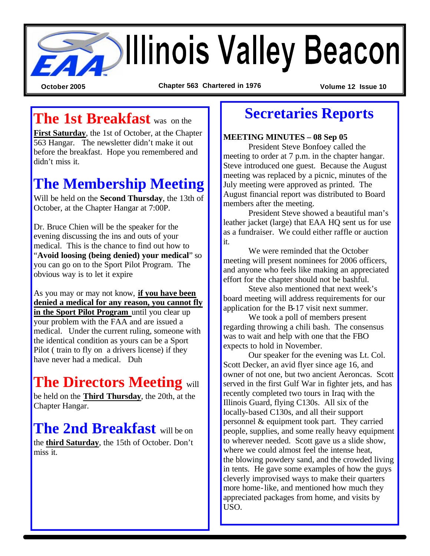

**October 2005 Chapter 563 Chartered in 1976 Volume 12 Issue 10**

## **The 1st Breakfast** was on the

**First Saturday**, the 1st of October, at the Chapter 563 Hangar. The newsletter didn't make it out before the breakfast. Hope you remembered and didn't miss it.

## **The Membership Meeting**

Will be held on the **Second Thursday**, the 13th of October, at the Chapter Hangar at 7:00P.

Dr. Bruce Chien will be the speaker for the evening discussing the ins and outs of your medical. This is the chance to find out how to "**Avoid loosing (being denied) your medical**" so you can go on to the Sport Pilot Program. The obvious way is to let it expire

As you may or may not know, **if you have been denied a medical for any reason, you cannot fly in the Sport Pilot Program** until you clear up your problem with the FAA and are issued a medical. Under the current ruling, someone with the identical condition as yours can be a Sport Pilot ( train to fly on a drivers license) if they have never had a medical. Duh

# **The Directors Meeting** will

be held on the **Third Thursday**, the 20th, at the Chapter Hangar.

**The 2nd Breakfast** will be on the **third Saturday**, the 15th of October. Don't miss it.

## **Secretaries Reports**

**MEETING MINUTES – 08 Sep 05**

President Steve Bonfoey called the meeting to order at 7 p.m. in the chapter hangar. Steve introduced one guest. Because the August meeting was replaced by a picnic, minutes of the July meeting were approved as printed. The August financial report was distributed to Board members after the meeting.

President Steve showed a beautiful man's leather jacket (large) that EAA HQ sent us for use as a fundraiser. We could either raffle or auction it.

We were reminded that the October meeting will present nominees for 2006 officers, and anyone who feels like making an appreciated effort for the chapter should not be bashful.

Steve also mentioned that next week's board meeting will address requirements for our application for the B-17 visit next summer.

We took a poll of members present regarding throwing a chili bash. The consensus was to wait and help with one that the FBO expects to hold in November.

Our speaker for the evening was Lt. Col. Scott Decker, an avid flyer since age 16, and owner of not one, but two ancient Aeroncas. Scott served in the first Gulf War in fighter jets, and has recently completed two tours in Iraq with the Illinois Guard, flying C130s. All six of the locally-based C130s, and all their support personnel & equipment took part. They carried people, supplies, and some really heavy equipment to wherever needed. Scott gave us a slide show, where we could almost feel the intense heat, the blowing powdery sand, and the crowded living in tents. He gave some examples of how the guys cleverly improvised ways to make their quarters more home-like, and mentioned how much they appreciated packages from home, and visits by USO.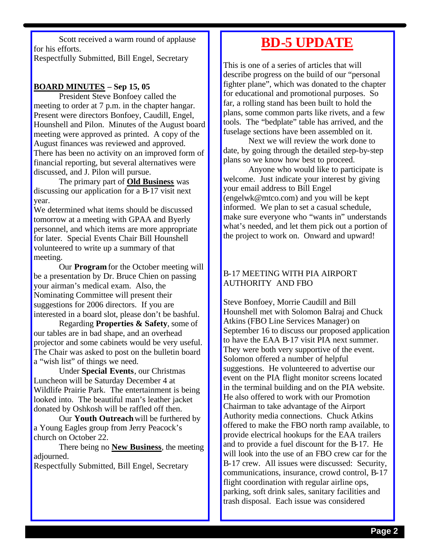Scott received a warm round of applause for his efforts. Respectfully Submitted, Bill Engel, Secretary

#### **BOARD MINUTES – Sep 15, 05**

President Steve Bonfoey called the meeting to order at 7 p.m. in the chapter hangar. Present were directors Bonfoey, Caudill, Engel, Hounshell and Pilon. Minutes of the August board meeting were approved as printed. A copy of the August finances was reviewed and approved. There has been no activity on an improved form of financial reporting, but several alternatives were discussed, and J. Pilon will pursue.

The primary part of **Old Business** was discussing our application for a B-17 visit next year.

We determined what items should be discussed tomorrow at a meeting with GPAA and Byerly personnel, and which items are more appropriate for later. Special Events Chair Bill Hounshell volunteered to write up a summary of that meeting.

Our **Program** for the October meeting will be a presentation by Dr. Bruce Chien on passing your airman's medical exam. Also, the Nominating Committee will present their suggestions for 2006 directors. If you are interested in a board slot, please don't be bashful.

Regarding **Properties & Safety**, some of our tables are in bad shape, and an overhead projector and some cabinets would be very useful. The Chair was asked to post on the bulletin board a "wish list" of things we need.

Under **Special Events**, our Christmas Luncheon will be Saturday December 4 at Wildlife Prairie Park. The entertainment is being looked into. The beautiful man's leather jacket donated by Oshkosh will be raffled off then.

Our **Youth Outreach** will be furthered by a Young Eagles group from Jerry Peacock's church on October 22.

There being no **New Business**, the meeting adjourned.

Respectfully Submitted, Bill Engel, Secretary

#### **BD-5 UPDATE**

This is one of a series of articles that will describe progress on the build of our "personal fighter plane", which was donated to the chapter for educational and promotional purposes. So far, a rolling stand has been built to hold the plans, some common parts like rivets, and a few tools. The "bedplate" table has arrived, and the fuselage sections have been assembled on it.

Next we will review the work done to date, by going through the detailed step-by-step plans so we know how best to proceed.

Anyone who would like to participate is welcome. Just indicate your interest by giving your email address to Bill Engel (engelwk@mtco.com) and you will be kept informed. We plan to set a casual schedule, make sure everyone who "wants in" understands what's needed, and let them pick out a portion of the project to work on. Onward and upward!

#### B-17 MEETING WITH PIA AIRPORT AUTHORITY AND FBO

Steve Bonfoey, Morrie Caudill and Bill Hounshell met with Solomon Balraj and Chuck Atkins (FBO Line Services Manager) on September 16 to discuss our proposed application to have the EAA B-17 visit PIA next summer. They were both very supportive of the event. Solomon offered a number of helpful suggestions. He volunteered to advertise our event on the PIA flight monitor screens located in the terminal building and on the PIA website. He also offered to work with our Promotion Chairman to take advantage of the Airport Authority media connections. Chuck Atkins offered to make the FBO north ramp available, to provide electrical hookups for the EAA trailers and to provide a fuel discount for the B-17. He will look into the use of an FBO crew car for the B-17 crew. All issues were discussed: Security, communications, insurance, crowd control, B-17 flight coordination with regular airline ops, parking, soft drink sales, sanitary facilities and trash disposal. Each issue was considered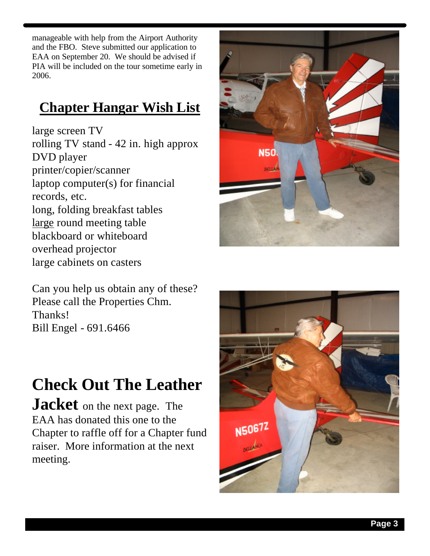manageable with help from the Airport Authority and the FBO. Steve submitted our application to EAA on September 20. We should be advised if PIA will be included on the tour sometime early in 2006.

### **Chapter Hangar Wish List**

large screen TV rolling TV stand - 42 in. high approx DVD player printer/copier/scanner laptop computer(s) for financial records, etc. long, folding breakfast tables large round meeting table blackboard or whiteboard overhead projector large cabinets on casters

Can you help us obtain any of these? Please call the Properties Chm. Thanks! Bill Engel - 691.6466

# **Check Out The Leather**

**Jacket** on the next page. The EAA has donated this one to the Chapter to raffle off for a Chapter fund raiser. More information at the next meeting.



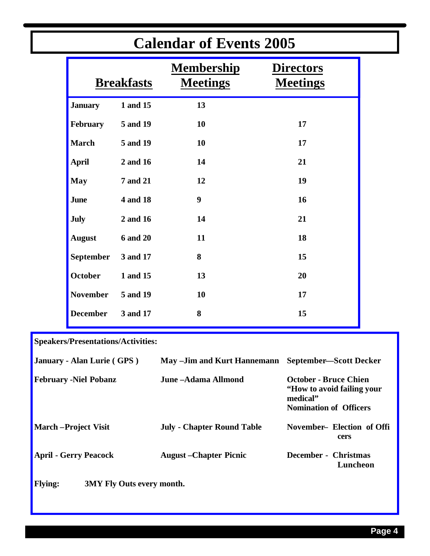|                 | Calendar of Events 2005 |                                      |                                     |  |  |
|-----------------|-------------------------|--------------------------------------|-------------------------------------|--|--|
|                 | <b>Breakfasts</b>       | <b>Membership</b><br><b>Meetings</b> | <b>Directors</b><br><b>Meetings</b> |  |  |
| <b>January</b>  | 1 and 15                | 13                                   |                                     |  |  |
| February        | 5 and 19                | 10                                   | 17                                  |  |  |
| <b>March</b>    | 5 and 19                | 10                                   | 17                                  |  |  |
| <b>April</b>    | 2 and 16                | 14                                   | 21                                  |  |  |
| <b>May</b>      | <b>7 and 21</b>         | 12                                   | 19                                  |  |  |
| June            | 4 and 18                | 9                                    | 16                                  |  |  |
| July            | 2 and 16                | 14                                   | 21                                  |  |  |
| <b>August</b>   | <b>6 and 20</b>         | 11                                   | 18                                  |  |  |
| September       | 3 and 17                | 8                                    | 15                                  |  |  |
| <b>October</b>  | 1 and 15                | 13                                   | 20                                  |  |  |
| <b>November</b> | 5 and 19                | 10                                   | 17                                  |  |  |
| <b>December</b> | 3 and 17                | 8                                    | 15                                  |  |  |
|                 |                         |                                      |                                     |  |  |

## **Calendar of Events 2005**

**Speakers/Presentations/Activities:**

| January - Alan Lurie (GPS)   | May –Jim and Kurt Hannemann       | September-Scott Decker                                                                                   |  |
|------------------------------|-----------------------------------|----------------------------------------------------------------------------------------------------------|--|
| <b>February -Niel Pobanz</b> | June – Adama Allmond              | <b>October - Bruce Chien</b><br>"How to avoid failing your"<br>medical"<br><b>Nomination of Officers</b> |  |
| <b>March-Project Visit</b>   | <b>July - Chapter Round Table</b> | November- Election of Offi<br>cers                                                                       |  |
| <b>April - Gerry Peacock</b> | <b>August</b> – Chapter Picnic    | December - Christmas<br>Luncheon                                                                         |  |
| <b>Flying:</b>               | <b>3MY Fly Outs every month.</b>  |                                                                                                          |  |